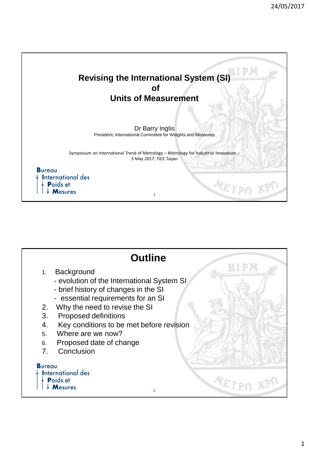

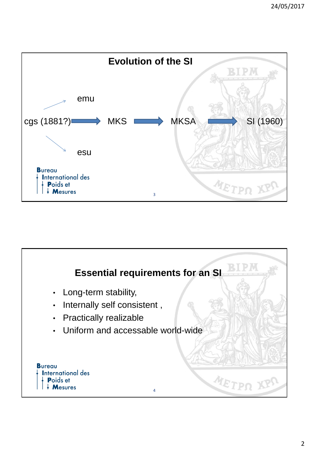

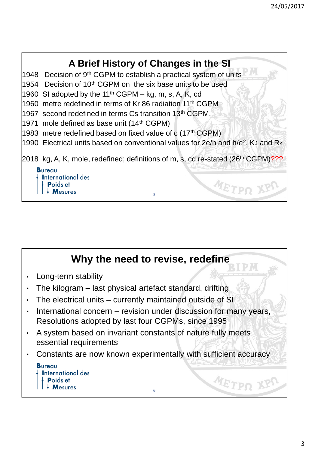

## **Why the need to revise, redefine**

- Long-term stability
- The kilogram last physical artefact standard, drifting
- The electrical units currently maintained outside of SI
- International concern revision under discussion for many years, Resolutions adopted by last four CGPMs, since 1995
- A system based on invariant constants of nature fully meets essential requirements
- Constants are now known experimentally with sufficient accuracy

6

| <b>Bureau</b>                   |
|---------------------------------|
| $\frac{1}{2}$ International des |
| $\downarrow$ Poids et           |
| $\frac{1}{2}$ Mesures           |

METPO XPS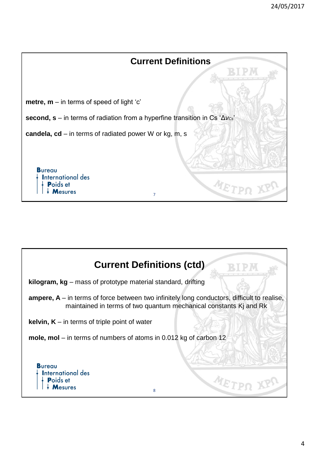

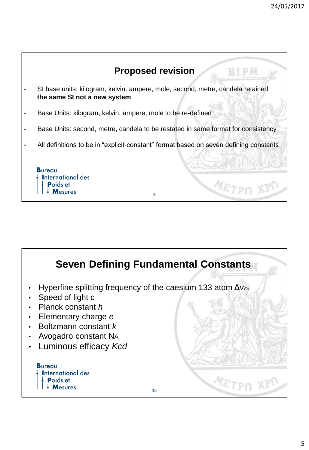

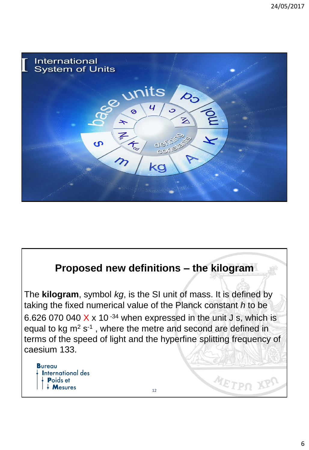

## **Proposed new definitions – the kilogram**

The **kilogram**, symbol *kg*, is the SI unit of mass. It is defined by taking the fixed numerical value of the Planck constant *h* to be 6.626 070 040  $\chi$  x 10<sup>-34</sup> when expressed in the unit J s, which is equal to kg  $m^2 s^{-1}$ , where the metre and second are defined in terms of the speed of light and the hyperfine splitting frequency of caesium 133.

12

METPI

**Bureau International des Poids et Mesures**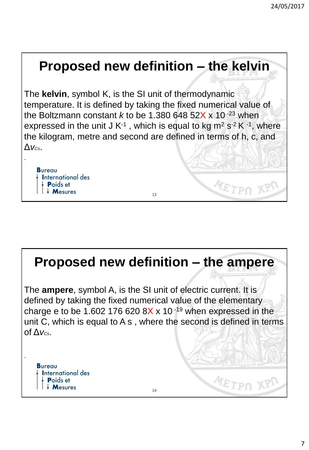## **Proposed new definition – the kelvin**

The **kelvin**, symbol K, is the SI unit of thermodynamic temperature. It is defined by taking the fixed numerical value of the Boltzmann constant  $k$  to be 1.380 648 52X x 10<sup>-23</sup> when expressed in the unit J K<sup>-1</sup>, which is equal to kg m<sup>2</sup> s<sup>-2</sup> K<sup>-1</sup>, where the kilogram, metre and second are defined in terms of h, c, and Δ*vCs*.

**Bureau International des** Poids et **Mesures** 

.

.

# **Proposed new definition – the ampere**

13

METPO

METPS

The **ampere**, symbol A, is the SI unit of electric current. It is defined by taking the fixed numerical value of the elementary charge e to be 1.602 176 620 8X  $\times$  10<sup>-19</sup> when expressed in the unit C, which is equal to A s , where the second is defined in terms of Δ*vCs*.

**Bureau International des** Poids et **Mesures**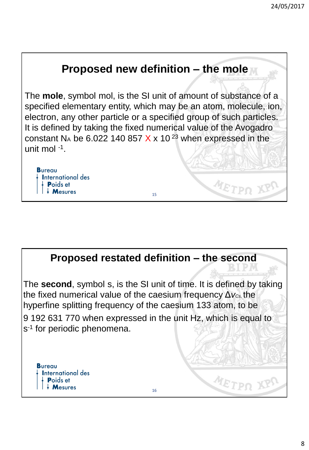



The **second**, symbol s, is the SI unit of time. It is defined by taking the fixed numerical value of the caesium frequency Δ*vCs,* the hyperfine splitting frequency of the caesium 133 atom, to be 9 192 631 770 when expressed in the unit Hz, which is equal to s<sup>-1</sup> for periodic phenomena.

**Bureau International des** Poids et **Mesures** 

METPS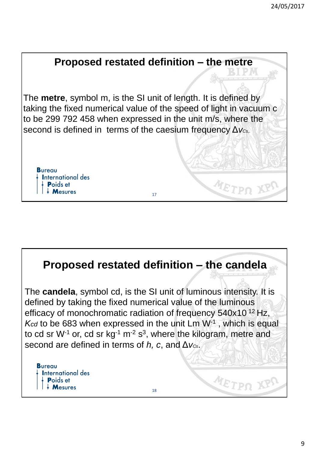

The **metre**, symbol m, is the SI unit of length. It is defined by taking the fixed numerical value of the speed of light in vacuum c to be 299 792 458 when expressed in the unit m/s, where the second is defined in terms of the caesium frequency Δ*vCs,.* 

17

**Bureau International des** Poids et  $\mathsf{M}$ esures

### **Proposed restated definition – the candela** The **candela**, symbol cd, is the SI unit of luminous intensity. It is defined by taking the fixed numerical value of the luminous efficacy of monochromatic radiation of frequency 540x10<sup>12</sup> Hz, K<sub>cd</sub> to be 683 when expressed in the unit Lm W<sup>-1</sup>, which is equal to cd sr W<sup>-1</sup> or, cd sr kg<sup>-1</sup> m<sup>-2</sup> s<sup>3</sup>, where the kilogram, metre and second are defined in terms of *h, c*, and Δ*vCs*. **Bureau International des** METPS **Poids et**  $\frac{1}{2}$  Mesures 18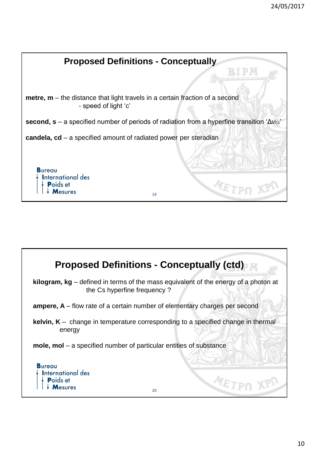

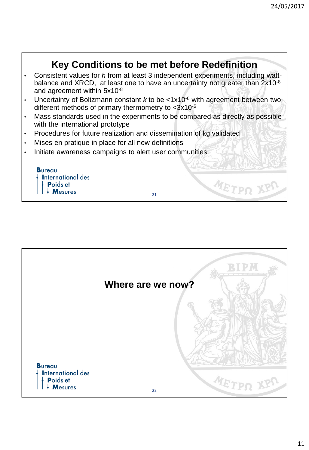#### **Key Conditions to be met before Redefinition** • Consistent values for *h* from at least 3 independent experiments, including wattbalance and XRCD, at least one to have an uncertainty not greater than 2x10<sup>-8</sup> and agreement within 5x10-8 • Uncertainty of Boltzmann constant *k* to be <1x10-6 with agreement between two different methods of primary thermometry to <3x10<sup>-6</sup> • Mass standards used in the experiments to be compared as directly as possible with the international prototype • Procedures for future realization and dissemination of kg validated Mises en pratique in place for all new definitions • Initiate awareness campaigns to alert user communities **Bureau International des** METPO Poids et  $\downarrow$  Mesures 21

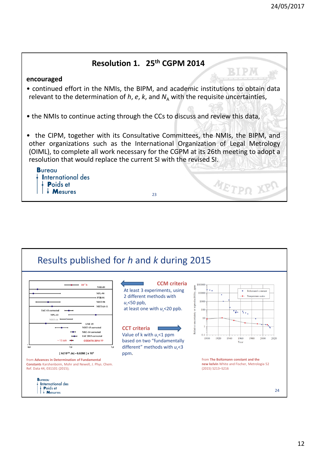#### **Resolution 1. 25th CGPM 2014** BIPM **encouraged** • continued effort in the NMIs, the BIPM, and academic institutions to obtain data relevant to the determination of  $h$ ,  $e$ ,  $k$ , and  $N<sub>A</sub>$  with the requisite uncertainties, • the NMIs to continue acting through the CCs to discuss and review this data, • the CIPM, together with its Consultative Committees, the NMIs, the BIPM, and other organizations such as the International Organization of Legal Metrology (OIML), to complete all work necessary for the CGPM at its 26th meeting to adopt a resolution that would replace the current SI with the revised SI. **Bureau International des** METPO 1 Poids et **Mesures** 23

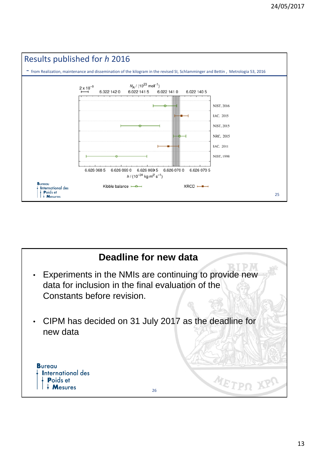

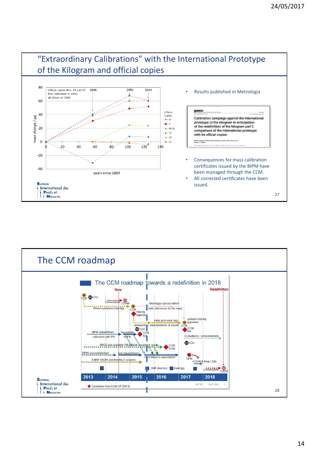

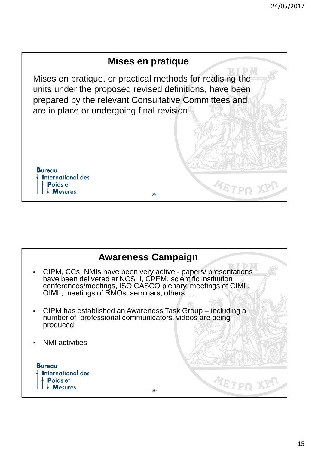

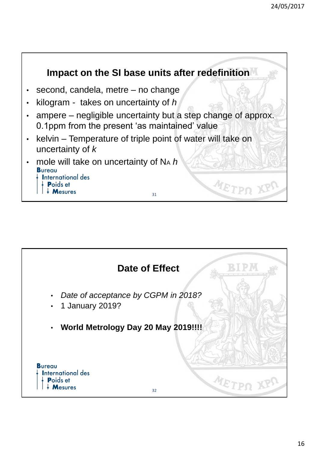